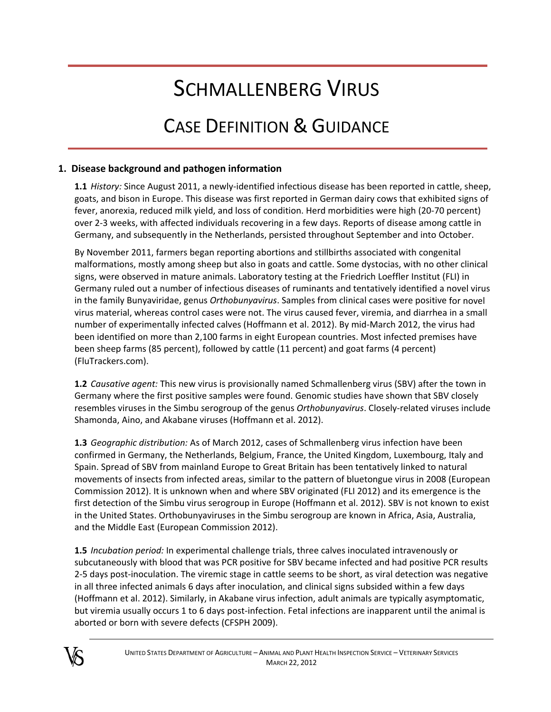# SCHMALLENBERG VIRUS

# CASE DEFINITION & GUIDANCE

## **1. Disease background and pathogen information**

**1.1** *History:* Since August 2011, a newly‐identified infectious disease has been reported in cattle, sheep, goats, and bison in Europe. This disease was first reported in German dairy cows that exhibited signs of fever, anorexia, reduced milk yield, and loss of condition. Herd morbidities were high (20‐70 percent) over 2‐3 weeks, with affected individuals recovering in a few days. Reports of disease among cattle in Germany, and subsequently in the Netherlands, persisted throughout September and into October.

By November 2011, farmers began reporting abortions and stillbirths associated with congenital malformations, mostly among sheep but also in goats and cattle. Some dystocias, with no other clinical signs, were observed in mature animals. Laboratory testing at the Friedrich Loeffler Institut (FLI) in Germany ruled out a number of infectious diseases of ruminants and tentatively identified a novel virus in the family Bunyaviridae, genus *Orthobunyavirus*. Samples from clinical cases were positive for novel virus material, whereas control cases were not. The virus caused fever, viremia, and diarrhea in a small number of experimentally infected calves (Hoffmann et al. 2012). By mid‐March 2012, the virus had been identified on more than 2,100 farms in eight European countries. Most infected premises have been sheep farms (85 percent), followed by cattle (11 percent) and goat farms (4 percent) (FluTrackers.com).

**1.2** *Causative agent:* This new virus is provisionally named Schmallenberg virus (SBV) after the town in Germany where the first positive samples were found. Genomic studies have shown that SBV closely resembles viruses in the Simbu serogroup of the genus *Orthobunyavirus*. Closely‐related viruses include Shamonda, Aino, and Akabane viruses (Hoffmann et al. 2012).

**1.3** *Geographic distribution:* As of March 2012, cases of Schmallenberg virus infection have been confirmed in Germany, the Netherlands, Belgium, France, the United Kingdom, Luxembourg, Italy and Spain. Spread of SBV from mainland Europe to Great Britain has been tentatively linked to natural movements of insects from infected areas, similar to the pattern of bluetongue virus in 2008 (European Commission 2012). It is unknown when and where SBV originated (FLI 2012) and its emergence is the first detection of the Simbu virus serogroup in Europe (Hoffmann et al. 2012). SBV is not known to exist in the United States. Orthobunyaviruses in the Simbu serogroup are known in Africa, Asia, Australia, and the Middle East (European Commission 2012).

**1.5** *Incubation period:* In experimental challenge trials, three calves inoculated intravenously or subcutaneously with blood that was PCR positive for SBV became infected and had positive PCR results 2‐5 days post‐inoculation. The viremic stage in cattle seems to be short, as viral detection was negative in all three infected animals 6 days after inoculation, and clinical signs subsided within a few days (Hoffmann et al. 2012). Similarly, in Akabane virus infection, adult animals are typically asymptomatic, but viremia usually occurs 1 to 6 days post-infection. Fetal infections are inapparent until the animal is aborted or born with severe defects (CFSPH 2009).

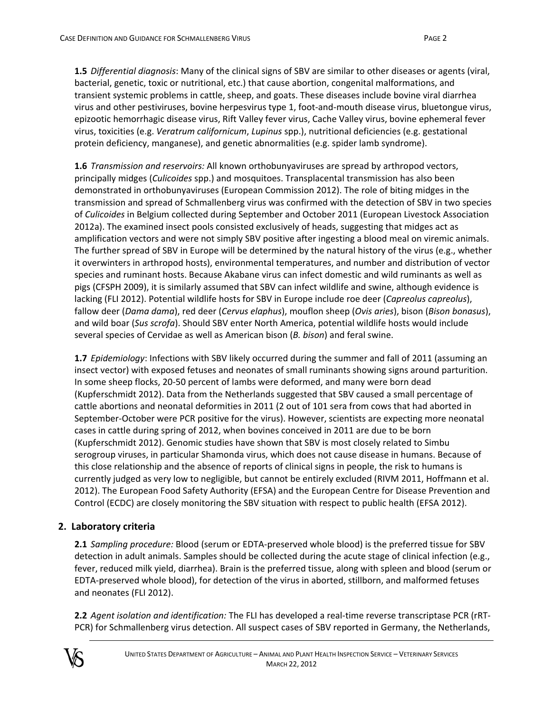**1.5** *Differential diagnosis*: Many of the clinical signs of SBV are similar to other diseases or agents (viral, bacterial, genetic, toxic or nutritional, etc.) that cause abortion, congenital malformations, and transient systemic problems in cattle, sheep, and goats. These diseases include bovine viral diarrhea virus and other pestiviruses, bovine herpesvirus type 1, foot‐and‐mouth disease virus, bluetongue virus, epizootic hemorrhagic disease virus, Rift Valley fever virus, Cache Valley virus, bovine ephemeral fever virus, toxicities (e.g. *Veratrum californicum*, *Lupinus* spp.), nutritional deficiencies (e.g. gestational protein deficiency, manganese), and genetic abnormalities (e.g. spider lamb syndrome).

**1.6** *Transmission and reservoirs:* All known orthobunyaviruses are spread by arthropod vectors, principally midges (*Culicoides* spp.) and mosquitoes. Transplacental transmission has also been demonstrated in orthobunyaviruses (European Commission 2012). The role of biting midges in the transmission and spread of Schmallenberg virus was confirmed with the detection of SBV in two species of *Culicoides* in Belgium collected during September and October 2011 (European Livestock Association 2012a). The examined insect pools consisted exclusively of heads, suggesting that midges act as amplification vectors and were not simply SBV positive after ingesting a blood meal on viremic animals. The further spread of SBV in Europe will be determined by the natural history of the virus (e.g., whether it overwinters in arthropod hosts), environmental temperatures, and number and distribution of vector species and ruminant hosts. Because Akabane virus can infect domestic and wild ruminants as well as pigs (CFSPH 2009), it is similarly assumed that SBV can infect wildlife and swine, although evidence is lacking (FLI 2012). Potential wildlife hosts for SBV in Europe include roe deer (*Capreolus capreolus*), fallow deer (*Dama dama*), red deer (*Cervus elaphus*), mouflon sheep (*Ovis aries*), bison (*Bison bonasus*), and wild boar (*Sus scrofa*). Should SBV enter North America, potential wildlife hosts would include several species of Cervidae as well as American bison (*B. bison*) and feral swine.

**1.7** *Epidemiology*: Infections with SBV likely occurred during the summer and fall of 2011 (assuming an insect vector) with exposed fetuses and neonates of small ruminants showing signs around parturition. In some sheep flocks, 20‐50 percent of lambs were deformed, and many were born dead (Kupferschmidt 2012). Data from the Netherlands suggested that SBV caused a small percentage of cattle abortions and neonatal deformities in 2011 (2 out of 101 sera from cows that had aborted in September‐October were PCR positive for the virus). However, scientists are expecting more neonatal cases in cattle during spring of 2012, when bovines conceived in 2011 are due to be born (Kupferschmidt 2012). Genomic studies have shown that SBV is most closely related to Simbu serogroup viruses, in particular Shamonda virus, which does not cause disease in humans. Because of this close relationship and the absence of reports of clinical signs in people, the risk to humans is currently judged as very low to negligible, but cannot be entirely excluded (RIVM 2011, Hoffmann et al. 2012). The European Food Safety Authority (EFSA) and the European Centre for Disease Prevention and Control (ECDC) are closely monitoring the SBV situation with respect to public health (EFSA 2012).

# **2. Laboratory criteria**

**2.1** *Sampling procedure:* Blood (serum or EDTA‐preserved whole blood) is the preferred tissue for SBV detection in adult animals. Samples should be collected during the acute stage of clinical infection (e.g., fever, reduced milk yield, diarrhea). Brain is the preferred tissue, along with spleen and blood (serum or EDTA‐preserved whole blood), for detection of the virus in aborted, stillborn, and malformed fetuses and neonates (FLI 2012).

**2.2** *Agent isolation and identification:* The FLI has developed a real‐time reverse transcriptase PCR (rRT‐ PCR) for Schmallenberg virus detection. All suspect cases of SBV reported in Germany, the Netherlands,

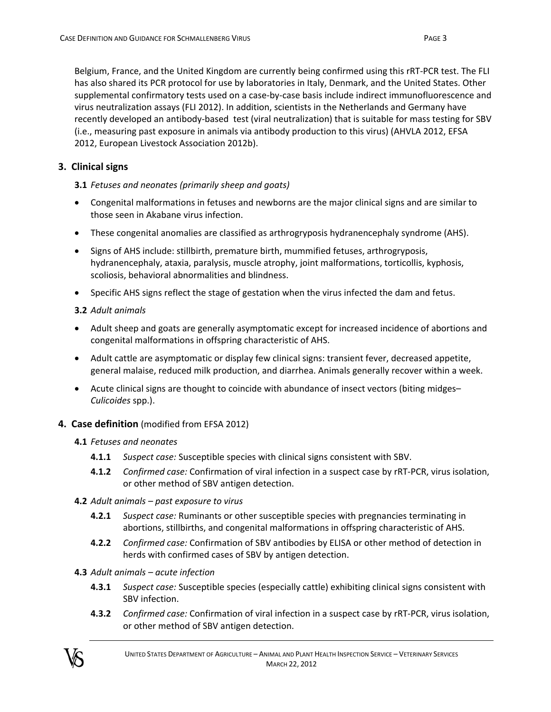Belgium, France, and the United Kingdom are currently being confirmed using this rRT‐PCR test. The FLI has also shared its PCR protocol for use by laboratories in Italy, Denmark, and the United States. Other supplemental confirmatory tests used on a case-by-case basis include indirect immunofluorescence and virus neutralization assays (FLI 2012). In addition, scientists in the Netherlands and Germany have recently developed an antibody‐based test (viral neutralization) that is suitable for mass testing for SBV (i.e., measuring past exposure in animals via antibody production to this virus) (AHVLA 2012, EFSA 2012, European Livestock Association 2012b).

#### **3. Clinical signs**

#### **3.1** *Fetuses and neonates (primarily sheep and goats)*

- Congenital malformations in fetuses and newborns are the major clinical signs and are similar to those seen in Akabane virus infection.
- These congenital anomalies are classified as arthrogryposis hydranencephaly syndrome (AHS).
- Signs of AHS include: stillbirth, premature birth, mummified fetuses, arthrogryposis, hydranencephaly, ataxia, paralysis, muscle atrophy, joint malformations, torticollis, kyphosis, scoliosis, behavioral abnormalities and blindness.
- Specific AHS signs reflect the stage of gestation when the virus infected the dam and fetus.

#### **3.2** *Adult animals*

- Adult sheep and goats are generally asymptomatic except for increased incidence of abortions and congenital malformations in offspring characteristic of AHS.
- Adult cattle are asymptomatic or display few clinical signs: transient fever, decreased appetite, general malaise, reduced milk production, and diarrhea. Animals generally recover within a week.
- Acute clinical signs are thought to coincide with abundance of insect vectors (biting midges– *Culicoides* spp.).

### **4. Case definition** (modified from EFSA 2012)

#### **4.1** *Fetuses and neonates*

- **4.1.1** *Suspect case:* Susceptible species with clinical signs consistent with SBV.
- **4.1.2** *Confirmed case:* Confirmation of viral infection in a suspect case by rRT‐PCR, virus isolation, or other method of SBV antigen detection.
- **4.2** *Adult animals – past exposure to virus*
	- **4.2.1** *Suspect case:* Ruminants or other susceptible species with pregnancies terminating in abortions, stillbirths, and congenital malformations in offspring characteristic of AHS.
	- **4.2.2** *Confirmed case:* Confirmation of SBV antibodies by ELISA or other method of detection in herds with confirmed cases of SBV by antigen detection.
- **4.3** *Adult animals – acute infection*
	- **4.3.1** *Suspect case:* Susceptible species (especially cattle) exhibiting clinical signs consistent with SBV infection.
	- **4.3.2** *Confirmed case:* Confirmation of viral infection in a suspect case by rRT‐PCR, virus isolation, or other method of SBV antigen detection.

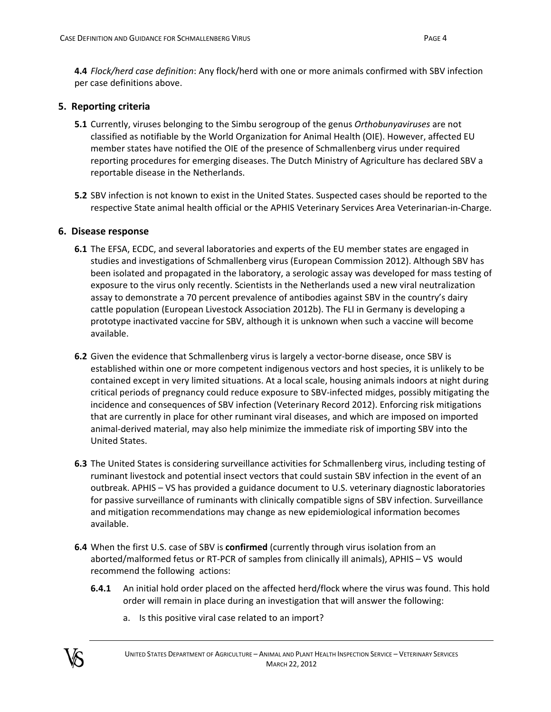**4.4** *Flock/herd case definition*: Any flock/herd with one or more animals confirmed with SBV infection per case definitions above.

#### **5. Reporting criteria**

- **5.1** Currently, viruses belonging to the Simbu serogroup of the genus *Orthobunyaviruses* are not classified as notifiable by the World Organization for Animal Health (OIE). However, affected EU member states have notified the OIE of the presence of Schmallenberg virus under required reporting procedures for emerging diseases. The Dutch Ministry of Agriculture has declared SBV a reportable disease in the Netherlands.
- **5.2** SBV infection is not known to exist in the United States. Suspected cases should be reported to the respective State animal health official or the APHIS Veterinary Services Area Veterinarian‐in‐Charge.

#### **6. Disease response**

- **6.1** The EFSA, ECDC, and several laboratories and experts of the EU member states are engaged in studies and investigations of Schmallenberg virus (European Commission 2012). Although SBV has been isolated and propagated in the laboratory, a serologic assay was developed for mass testing of exposure to the virus only recently. Scientists in the Netherlands used a new viral neutralization assay to demonstrate a 70 percent prevalence of antibodies against SBV in the country's dairy cattle population (European Livestock Association 2012b). The FLI in Germany is developing a prototype inactivated vaccine for SBV, although it is unknown when such a vaccine will become available.
- **6.2** Given the evidence that Schmallenberg virus is largely a vector-borne disease, once SBV is established within one or more competent indigenous vectors and host species, it is unlikely to be contained except in very limited situations. At a local scale, housing animals indoors at night during critical periods of pregnancy could reduce exposure to SBV‐infected midges, possibly mitigating the incidence and consequences of SBV infection (Veterinary Record 2012). Enforcing risk mitigations that are currently in place for other ruminant viral diseases, and which are imposed on imported animal-derived material, may also help minimize the immediate risk of importing SBV into the United States.
- **6.3** The United States is considering surveillance activities for Schmallenberg virus, including testing of ruminant livestock and potential insect vectors that could sustain SBV infection in the event of an outbreak. APHIS – VS has provided a guidance document to U.S. veterinary diagnostic laboratories for passive surveillance of ruminants with clinically compatible signs of SBV infection. Surveillance and mitigation recommendations may change as new epidemiological information becomes available.
- **6.4** When the first U.S. case of SBV is **confirmed** (currently through virus isolation from an aborted/malformed fetus or RT‐PCR of samples from clinically ill animals), APHIS – VS would recommend the following actions:
	- **6.4.1** An initial hold order placed on the affected herd/flock where the virus was found. This hold order will remain in place during an investigation that will answer the following:
		- a. Is this positive viral case related to an import?

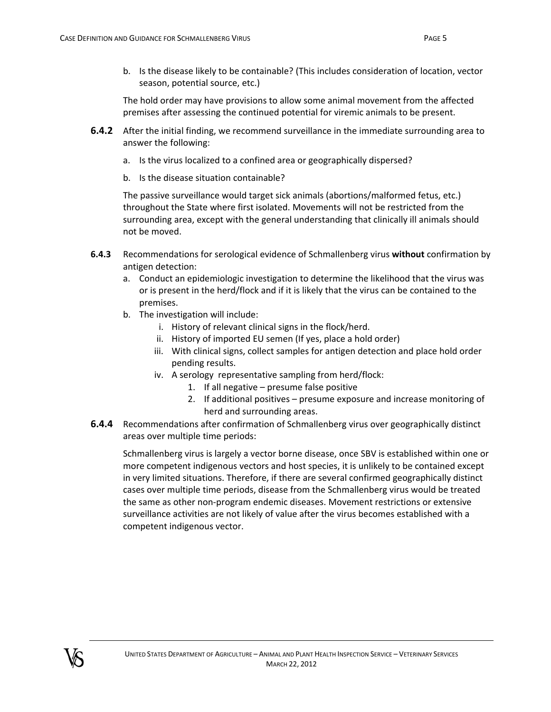b. Is the disease likely to be containable? (This includes consideration of location, vector season, potential source, etc.)

The hold order may have provisions to allow some animal movement from the affected premises after assessing the continued potential for viremic animals to be present.

- **6.4.2** After the initial finding, we recommend surveillance in the immediate surrounding area to answer the following:
	- a. Is the virus localized to a confined area or geographically dispersed?
	- b. Is the disease situation containable?

The passive surveillance would target sick animals (abortions/malformed fetus, etc.) throughout the State where first isolated. Movements will not be restricted from the surrounding area, except with the general understanding that clinically ill animals should not be moved.

- **6.4.3** Recommendations for serological evidence of Schmallenberg virus **without** confirmation by antigen detection:
	- a. Conduct an epidemiologic investigation to determine the likelihood that the virus was or is present in the herd/flock and if it is likely that the virus can be contained to the premises.
	- b. The investigation will include:
		- i. History of relevant clinical signs in the flock/herd.
		- ii. History of imported EU semen (If yes, place a hold order)
		- iii. With clinical signs, collect samples for antigen detection and place hold order pending results.
		- iv. A serology representative sampling from herd/flock:
			- 1. If all negative presume false positive
			- 2. If additional positives presume exposure and increase monitoring of herd and surrounding areas.
- **6.4.4** Recommendations after confirmation of Schmallenberg virus over geographically distinct areas over multiple time periods:

Schmallenberg virus is largely a vector borne disease, once SBV is established within one or more competent indigenous vectors and host species, it is unlikely to be contained except in very limited situations. Therefore, if there are several confirmed geographically distinct cases over multiple time periods, disease from the Schmallenberg virus would be treated the same as other non‐program endemic diseases. Movement restrictions or extensive surveillance activities are not likely of value after the virus becomes established with a competent indigenous vector.

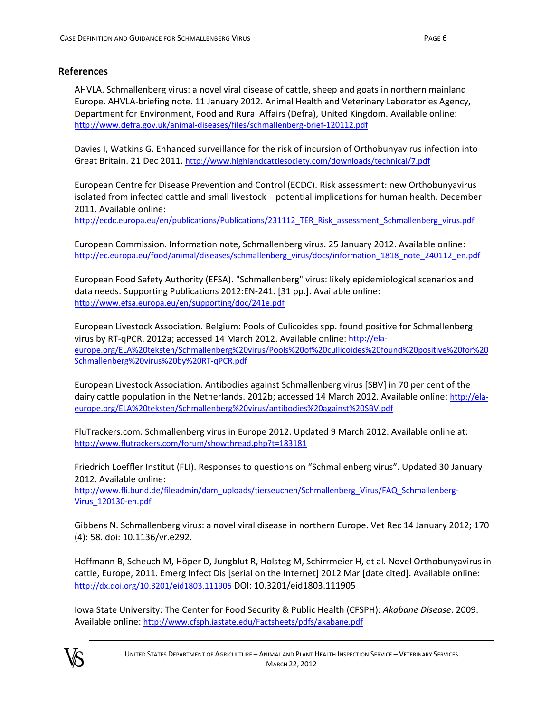#### **References**

AHVLA. Schmallenberg virus: a novel viral disease of cattle, sheep and goats in northern mainland Europe. AHVLA‐briefing note. 11 January 2012. Animal Health and Veterinary Laboratories Agency, Department for Environment, Food and Rural Affairs (Defra), United Kingdom. Available online: http://www.defra.gov.uk/animal‐diseases/files/schmallenberg‐brief‐120112.pdf

Davies I, Watkins G. Enhanced surveillance for the risk of incursion of Orthobunyavirus infection into Great Britain. 21 Dec 2011. http://www.highlandcattlesociety.com/downloads/technical/7.pdf

European Centre for Disease Prevention and Control (ECDC). Risk assessment: new Orthobunyavirus isolated from infected cattle and small livestock – potential implications for human health. December 2011. Available online:

http://ecdc.europa.eu/en/publications/Publications/231112\_TER\_Risk\_assessment\_Schmallenberg\_virus.pdf

European Commission. Information note, Schmallenberg virus. 25 January 2012. Available online: http://ec.europa.eu/food/animal/diseases/schmallenberg\_virus/docs/information\_1818\_note\_240112\_en.pdf

European Food Safety Authority (EFSA). "Schmallenberg" virus: likely epidemiological scenarios and data needs. Supporting Publications 2012:EN‐241. [31 pp.]. Available online: http://www.efsa.europa.eu/en/supporting/doc/241e.pdf

European Livestock Association. Belgium: Pools of Culicoides spp. found positive for Schmallenberg virus by RT‐qPCR. 2012a; accessed 14 March 2012. Available online: http://ela‐ europe.org/ELA%20teksten/Schmallenberg%20virus/Pools%20of%20cullicoides%20found%20positive%20for%20 Schmallenberg%20virus%20by%20RT‐qPCR.pdf

European Livestock Association. Antibodies against Schmallenberg virus [SBV] in 70 per cent of the dairy cattle population in the Netherlands. 2012b; accessed 14 March 2012. Available online: http://ela‐ europe.org/ELA%20teksten/Schmallenberg%20virus/antibodies%20against%20SBV.pdf

FluTrackers.com. Schmallenberg virus in Europe 2012. Updated 9 March 2012. Available online at: http://www.flutrackers.com/forum/showthread.php?t=183181

Friedrich Loeffler Institut (FLI). Responses to questions on "Schmallenberg virus". Updated 30 January 2012. Available online:

http://www.fli.bund.de/fileadmin/dam\_uploads/tierseuchen/Schmallenberg\_Virus/FAQ\_Schmallenberg-Virus\_120130‐en.pdf

Gibbens N. Schmallenberg virus: a novel viral disease in northern Europe. Vet Rec 14 January 2012; 170 (4): 58. doi: 10.1136/vr.e292.

Hoffmann B, Scheuch M, Höper D, Jungblut R, Holsteg M, Schirrmeier H, et al. Novel Orthobunyavirus in cattle, Europe, 2011. Emerg Infect Dis [serial on the Internet] 2012 Mar [date cited]. Available online: http://dx.doi.org/10.3201/eid1803.111905 DOI: 10.3201/eid1803.111905

Iowa State University: The Center for Food Security & Public Health (CFSPH): *Akabane Disease*. 2009. Available online: http://www.cfsph.iastate.edu/Factsheets/pdfs/akabane.pdf